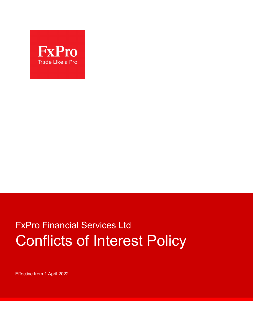

# FxPro Financial Services Ltd Conflicts of Interest Policy

Effective from 1 April 2022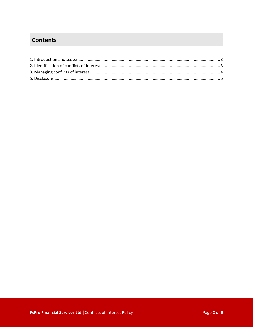## **Contents**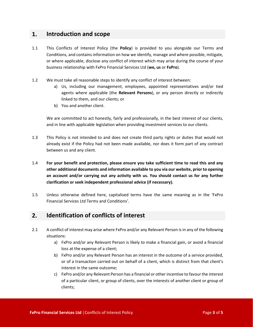## **1. Introduction and scope**

- 1.1 This Conflicts of Interest Policy (the **Policy**) is provided to you alongside our Terms and Conditions, and contains information on how we identify, manage and where possible, mitigate, or where applicable, disclose any conflict of interest which may arise during the course of your business relationship with FxPro Financial Services Ltd (**we, us** or **FxPro**).
- 1.2 We must take all reasonable steps to identify any conflict of interest between:
	- a) Us, including our management, employees, appointed representatives and/or tied agents where applicable (the **Relevant Persons**), or any person directly or indirectly linked to them, and our clients; or
	- b) You and another client.

We are committed to act honestly, fairly and professionally, in the best interest of our clients, and in line with applicable legislation when providing investment services to our clients.

- 1.3 This Policy is not intended to and does not create third party rights or duties that would not already exist if the Policy had not been made available, nor does it form part of any contract between us and any client.
- 1.4 **For your benefit and protection, please ensure you take sufficient time to read this and any other additional documents and information available to you via our website, prior to opening an account and/or carrying out any activity with us. You should contact us for any further clarification or seek independent professional advice (if necessary).**
- 1.5 Unless otherwise defined here, capitalised terms have the same meaning as in the 'FxPro Financial Services Ltd Terms and Conditions'.

## **2. Identification of conflicts of interest**

- 2.1 A conflict of interest may arise where FxPro and/or any Relevant Person is in any of the following situations:
	- a) FxPro and/or any Relevant Person is likely to make a financial gain, or avoid a financial loss at the expense of a client;
	- b) FxPro and/or any Relevant Person has an interest in the outcome of a service provided, or of a transaction carried out on behalf of a client, which is distinct from that client's interest in the same outcome;
	- c) FxPro and/or any Relevant Person has a financial or other incentive to favour the interest of a particular client, or group of clients, over the interests of another client or group of clients;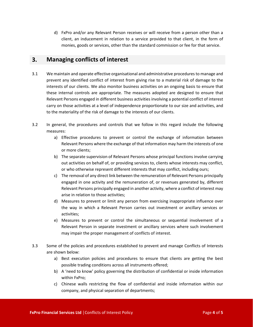d) FxPro and/or any Relevant Person receives or will receive from a person other than a client, an inducement in relation to a service provided to that client, in the form of monies, goods or services, other than the standard commission or fee for that service.

### **3. Managing conflicts of interest**

- 3.1 We maintain and operate effective organisational and administrative procedures to manage and prevent any identified conflict of interest from giving rise to a material risk of damage to the interests of our clients. We also monitor business activities on an ongoing basis to ensure that these internal controls are appropriate. The measures adopted are designed to ensure that Relevant Persons engaged in different business activities involving a potential conflict of interest carry on those activities at a level of independence proportionate to our size and activities, and to the materiality of the risk of damage to the interests of our clients.
- 3.2 In general, the procedures and controls that we follow in this regard include the following measures:
	- a) Effective procedures to prevent or control the exchange of information between Relevant Persons where the exchange of that information may harm the interests of one or more clients;
	- b) The separate supervision of Relevant Persons whose principal functions involve carrying out activities on behalf of, or providing services to, clients whose interests may conflict, or who otherwise represent different interests that may conflict, including ours;
	- c) The removal of any direct link between the remuneration of Relevant Persons principally engaged in one activity and the remuneration of, or revenues generated by, different Relevant Persons principally engaged in another activity, where a conflict of interest may arise in relation to those activities;
	- d) Measures to prevent or limit any person from exercising inappropriate influence over the way in which a Relevant Person carries out investment or ancillary services or activities;
	- e) Measures to prevent or control the simultaneous or sequential involvement of a Relevant Person in separate investment or ancillary services where such involvement may impair the proper management of conflicts of interest.
- 3.3 Some of the policies and procedures established to prevent and manage Conflicts of Interests are shown below:
	- a) Best execution policies and procedures to ensure that clients are getting the best possible trading conditions across all instruments offered;
	- b) A 'need to know' policy governing the distribution of confidential or inside information within FxPro;
	- c) Chinese walls restricting the flow of confidential and inside information within our company, and physical separation of departments;